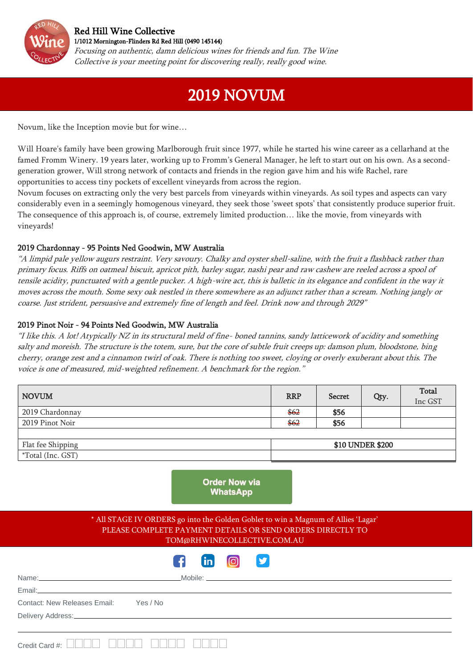

I

## [Red Hill Wine Collective](http://www.rhwinecollective.com.au/)  [1/1012 Mornington-Flinders Rd Red Hill \(0490 145144\)](https://goo.gl/maps/xiknikjV91J9H1es8)

Focusing on authentic, damn delicious wines for friends and fun. The Wine Collective is your meeting point for discovering really, really good wine.

## 2019 NOVUM

I

Novum, like the Inception movie but for wine…

Will Hoare's family have been growing Marlborough fruit since 1977, while he started his wine career as a cellarhand at the famed Fromm Winery. 19 years later, working up to Fromm's General Manager, he left to start out on his own. As a secondgeneration grower, Will strong network of contacts and friends in the region gave him and his wife Rachel, rare opportunities to access tiny pockets of excellent vineyards from across the region.

Novum focuses on extracting only the very best parcels from vineyards within vineyards. As soil types and aspects can vary considerably even in a seemingly homogenous vineyard, they seek those 'sweet spots' that consistently produce superior fruit. The consequence of this approach is, of course, extremely limited production… like the movie, from vineyards with vineyards!

## 2019 Chardonnay - 95 Points Ned Goodwin, MW Australia

"A limpid pale yellow augurs restraint. Very savoury. Chalky and oyster shell-saline, with the fruit a flashback rather than primary focus. Riffs on oatmeal biscuit, apricot pith, barley sugar, nashi pear and raw cashew are reeled across a spool of tensile acidity, punctuated with a gentle pucker. A high-wire act, this is balletic in its elegance and confident in the way it moves across the mouth. Some sexy oak nestled in there somewhere as an adjunct rather than a scream. Nothing jangly or coarse. Just strident, persuasive and extremely fine of length and feel. Drink now and through 2029"

## 2019 Pinot Noir - 94 Points Ned Goodwin, MW Australia

"I like this. A lot! Atypically NZ in its structural meld of fine- boned tannins, sandy latticework of acidity and something salty and moreish. The structure is the totem, sure, but the core of subtle fruit creeps up: damson plum, bloodstone, bing cherry, orange zest and a cinnamon twirl of oak. There is nothing too sweet, cloying or overly exuberant about this. The voice is one of measured, mid-weighted refinement. A benchmark for the region."

| <b>NOVUM</b>             | <b>RRP</b>       | <b>Secret</b> | Qty. | Total<br>Inc GST |
|--------------------------|------------------|---------------|------|------------------|
| 2019 Chardonnay          | \$62             | \$56          |      |                  |
| 2019 Pinot Noir          | \$62             | \$56          |      |                  |
|                          |                  |               |      |                  |
| Flat fee Shipping        | \$10 UNDER \$200 |               |      |                  |
| <i>*Total</i> (Inc. GST) |                  |               |      |                  |

|                                                                                                                                                                                                                                |                                                                  | <b>Order Now via</b><br><b>WhatsApp</b> |  |  |  |
|--------------------------------------------------------------------------------------------------------------------------------------------------------------------------------------------------------------------------------|------------------------------------------------------------------|-----------------------------------------|--|--|--|
| * All STAGE IV ORDERS go into the Golden Goblet to win a Magnum of Allies 'Lagar'<br>PLEASE COMPLETE PAYMENT DETAILS OR SEND ORDERS DIRECTLY TO                                                                                | TOM@RHWINECOLLECTIVE.COM.AU                                      |                                         |  |  |  |
|                                                                                                                                                                                                                                | $\boxed{\mathsf{in}}$ $\boxed{\odot}$ $\boxed{\mathsf{y}}$<br>F. |                                         |  |  |  |
|                                                                                                                                                                                                                                |                                                                  |                                         |  |  |  |
| Email: <u>Alexander Alexander Alexander Alexander Alexander Alexander Alexander Alexander Alexander Alexander Alex</u>                                                                                                         |                                                                  |                                         |  |  |  |
| Contact: New Releases Email: Yes / No                                                                                                                                                                                          |                                                                  |                                         |  |  |  |
| Delivery Address: Notice of the Contract of the Contract of the Contract of the Contract of the Contract of the Contract of the Contract of the Contract of the Contract of the Contract of the Contract of the Contract of th |                                                                  |                                         |  |  |  |
| Credit Card #:                                                                                                                                                                                                                 |                                                                  |                                         |  |  |  |